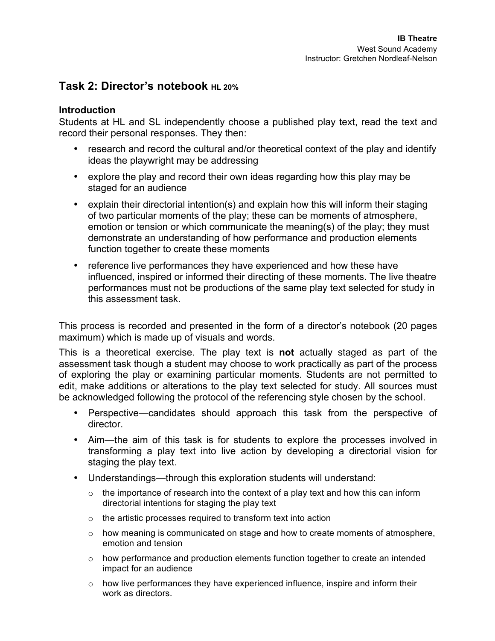# **Task 2: Director's notebook HL 20%**

## **Introduction**

Students at HL and SL independently choose a published play text, read the text and record their personal responses. They then:

- research and record the cultural and/or theoretical context of the play and identify ideas the playwright may be addressing
- explore the play and record their own ideas regarding how this play may be staged for an audience
- explain their directorial intention(s) and explain how this will inform their staging of two particular moments of the play; these can be moments of atmosphere, emotion or tension or which communicate the meaning(s) of the play; they must demonstrate an understanding of how performance and production elements function together to create these moments
- reference live performances they have experienced and how these have influenced, inspired or informed their directing of these moments. The live theatre performances must not be productions of the same play text selected for study in this assessment task.

This process is recorded and presented in the form of a director's notebook (20 pages maximum) which is made up of visuals and words.

This is a theoretical exercise. The play text is **not** actually staged as part of the assessment task though a student may choose to work practically as part of the process of exploring the play or examining particular moments. Students are not permitted to edit, make additions or alterations to the play text selected for study. All sources must be acknowledged following the protocol of the referencing style chosen by the school.

- Perspective—candidates should approach this task from the perspective of director.
- Aim—the aim of this task is for students to explore the processes involved in transforming a play text into live action by developing a directorial vision for staging the play text.
- Understandings—through this exploration students will understand:
	- $\circ$  the importance of research into the context of a play text and how this can inform directorial intentions for staging the play text
	- o the artistic processes required to transform text into action
	- o how meaning is communicated on stage and how to create moments of atmosphere, emotion and tension
	- $\circ$  how performance and production elements function together to create an intended impact for an audience
	- o how live performances they have experienced influence, inspire and inform their work as directors.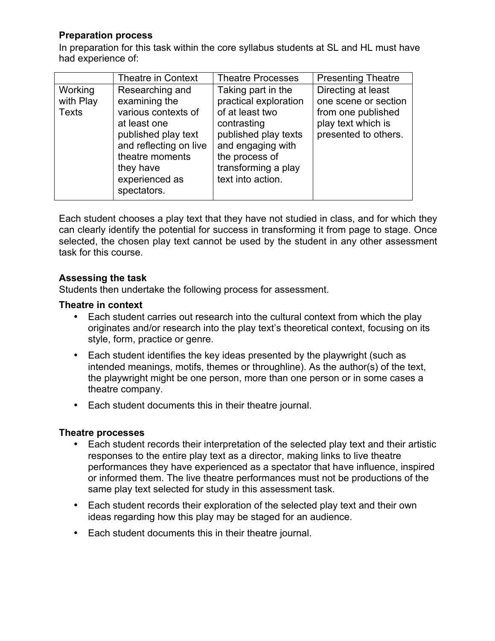## **Preparation process**

In preparation for this task within the core syllabus students at SL and HL must have had experience of:

|                                      | Theatre in Context                                                                                                                                                                        | <b>Theatre Processes</b>                                                                                                                                                                 | <b>Presenting Theatre</b>                                                                                      |
|--------------------------------------|-------------------------------------------------------------------------------------------------------------------------------------------------------------------------------------------|------------------------------------------------------------------------------------------------------------------------------------------------------------------------------------------|----------------------------------------------------------------------------------------------------------------|
| Working<br>with Play<br><b>Texts</b> | Researching and<br>examining the<br>various contexts of<br>at least one<br>published play text<br>and reflecting on live<br>theatre moments<br>they have<br>experienced as<br>spectators. | Taking part in the<br>practical exploration<br>of at least two<br>contrasting<br>published play texts<br>and engaging with<br>the process of<br>transforming a play<br>text into action. | Directing at least<br>one scene or section<br>from one published<br>play text which is<br>presented to others. |

Each student chooses a play text that they have not studied in class, and for which they can clearly identify the potential for success in transforming it from page to stage. Once selected, the chosen play text cannot be used by the student in any other assessment task for this course.

#### **Assessing the task**

Students then undertake the following process for assessment.

#### **Theatre in context**

- Each student carries out research into the cultural context from which the play originates and/or research into the play text's theoretical context, focusing on its style, form, practice or genre.
- Each student identifies the key ideas presented by the playwright (such as intended meanings, motifs, themes or throughline). As the author(s) of the text, the playwright might be one person, more than one person or in some cases a theatre company.
- Each student documents this in their theatre journal.

#### **Theatre processes**

- Each student records their interpretation of the selected play text and their artistic responses to the entire play text as a director, making links to live theatre performances they have experienced as a spectator that have influence, inspired or informed them. The live theatre performances must not be productions of the same play text selected for study in this assessment task.
- Each student records their exploration of the selected play text and their own ideas regarding how this play may be staged for an audience.
- Each student documents this in their theatre journal.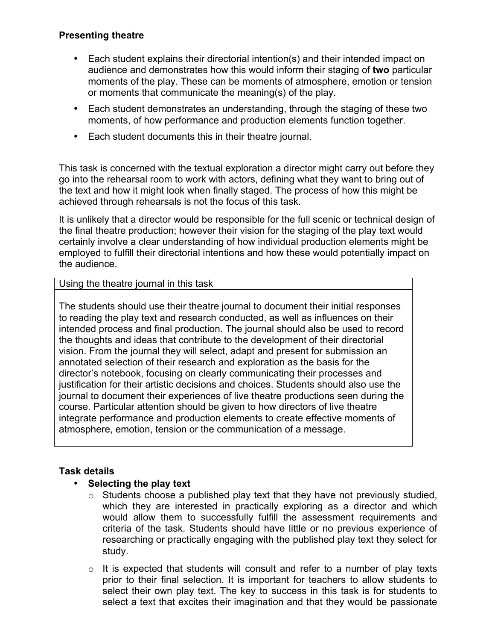## **Presenting theatre**

- Each student explains their directorial intention(s) and their intended impact on audience and demonstrates how this would inform their staging of **two** particular moments of the play. These can be moments of atmosphere, emotion or tension or moments that communicate the meaning(s) of the play.
- Each student demonstrates an understanding, through the staging of these two moments, of how performance and production elements function together.
- Each student documents this in their theatre journal.

This task is concerned with the textual exploration a director might carry out before they go into the rehearsal room to work with actors, defining what they want to bring out of the text and how it might look when finally staged. The process of how this might be achieved through rehearsals is not the focus of this task.

It is unlikely that a director would be responsible for the full scenic or technical design of the final theatre production; however their vision for the staging of the play text would certainly involve a clear understanding of how individual production elements might be employed to fulfill their directorial intentions and how these would potentially impact on the audience.

## Using the theatre journal in this task

The students should use their theatre journal to document their initial responses to reading the play text and research conducted, as well as influences on their intended process and final production. The journal should also be used to record the thoughts and ideas that contribute to the development of their directorial vision. From the journal they will select, adapt and present for submission an annotated selection of their research and exploration as the basis for the director's notebook, focusing on clearly communicating their processes and justification for their artistic decisions and choices. Students should also use the journal to document their experiences of live theatre productions seen during the course. Particular attention should be given to how directors of live theatre integrate performance and production elements to create effective moments of atmosphere, emotion, tension or the communication of a message.

## **Task details**

## • **Selecting the play text**

- $\circ$  Students choose a published play text that they have not previously studied, which they are interested in practically exploring as a director and which would allow them to successfully fulfill the assessment requirements and criteria of the task. Students should have little or no previous experience of researching or practically engaging with the published play text they select for study.
- o It is expected that students will consult and refer to a number of play texts prior to their final selection. It is important for teachers to allow students to select their own play text. The key to success in this task is for students to select a text that excites their imagination and that they would be passionate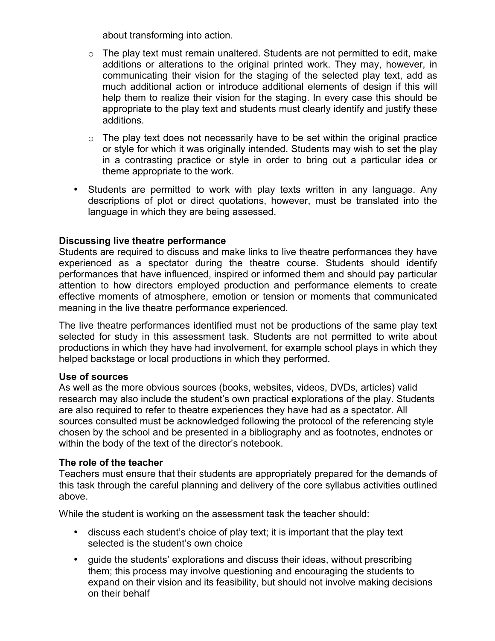about transforming into action.

- $\circ$  The play text must remain unaltered. Students are not permitted to edit, make additions or alterations to the original printed work. They may, however, in communicating their vision for the staging of the selected play text, add as much additional action or introduce additional elements of design if this will help them to realize their vision for the staging. In every case this should be appropriate to the play text and students must clearly identify and justify these additions.
- $\circ$  The play text does not necessarily have to be set within the original practice or style for which it was originally intended. Students may wish to set the play in a contrasting practice or style in order to bring out a particular idea or theme appropriate to the work.
- Students are permitted to work with play texts written in any language. Any descriptions of plot or direct quotations, however, must be translated into the language in which they are being assessed.

#### **Discussing live theatre performance**

Students are required to discuss and make links to live theatre performances they have experienced as a spectator during the theatre course. Students should identify performances that have influenced, inspired or informed them and should pay particular attention to how directors employed production and performance elements to create effective moments of atmosphere, emotion or tension or moments that communicated meaning in the live theatre performance experienced.

The live theatre performances identified must not be productions of the same play text selected for study in this assessment task. Students are not permitted to write about productions in which they have had involvement, for example school plays in which they helped backstage or local productions in which they performed.

#### **Use of sources**

As well as the more obvious sources (books, websites, videos, DVDs, articles) valid research may also include the student's own practical explorations of the play. Students are also required to refer to theatre experiences they have had as a spectator. All sources consulted must be acknowledged following the protocol of the referencing style chosen by the school and be presented in a bibliography and as footnotes, endnotes or within the body of the text of the director's notebook.

#### **The role of the teacher**

Teachers must ensure that their students are appropriately prepared for the demands of this task through the careful planning and delivery of the core syllabus activities outlined above.

While the student is working on the assessment task the teacher should:

- discuss each student's choice of play text; it is important that the play text selected is the student's own choice
- guide the students' explorations and discuss their ideas, without prescribing them; this process may involve questioning and encouraging the students to expand on their vision and its feasibility, but should not involve making decisions on their behalf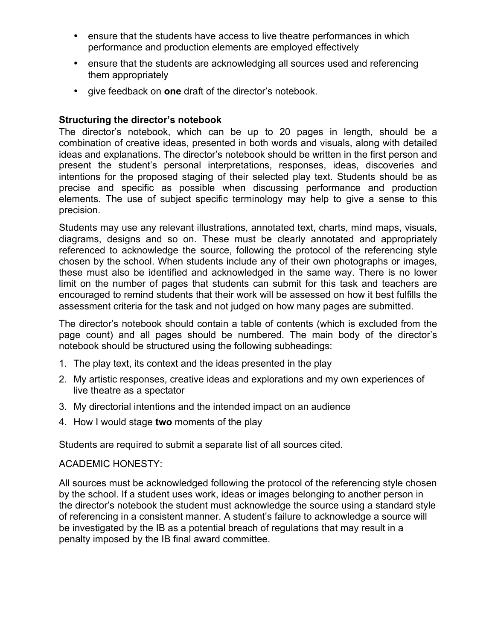- ensure that the students have access to live theatre performances in which performance and production elements are employed effectively
- ensure that the students are acknowledging all sources used and referencing them appropriately
- give feedback on **one** draft of the director's notebook.

## **Structuring the director's notebook**

The director's notebook, which can be up to 20 pages in length, should be a combination of creative ideas, presented in both words and visuals, along with detailed ideas and explanations. The director's notebook should be written in the first person and present the student's personal interpretations, responses, ideas, discoveries and intentions for the proposed staging of their selected play text. Students should be as precise and specific as possible when discussing performance and production elements. The use of subject specific terminology may help to give a sense to this precision.

Students may use any relevant illustrations, annotated text, charts, mind maps, visuals, diagrams, designs and so on. These must be clearly annotated and appropriately referenced to acknowledge the source, following the protocol of the referencing style chosen by the school. When students include any of their own photographs or images, these must also be identified and acknowledged in the same way. There is no lower limit on the number of pages that students can submit for this task and teachers are encouraged to remind students that their work will be assessed on how it best fulfills the assessment criteria for the task and not judged on how many pages are submitted.

The director's notebook should contain a table of contents (which is excluded from the page count) and all pages should be numbered. The main body of the director's notebook should be structured using the following subheadings:

- 1. The play text, its context and the ideas presented in the play
- 2. My artistic responses, creative ideas and explorations and my own experiences of live theatre as a spectator
- 3. My directorial intentions and the intended impact on an audience
- 4. How I would stage **two** moments of the play

Students are required to submit a separate list of all sources cited.

#### ACADEMIC HONESTY:

All sources must be acknowledged following the protocol of the referencing style chosen by the school. If a student uses work, ideas or images belonging to another person in the director's notebook the student must acknowledge the source using a standard style of referencing in a consistent manner. A student's failure to acknowledge a source will be investigated by the IB as a potential breach of regulations that may result in a penalty imposed by the IB final award committee.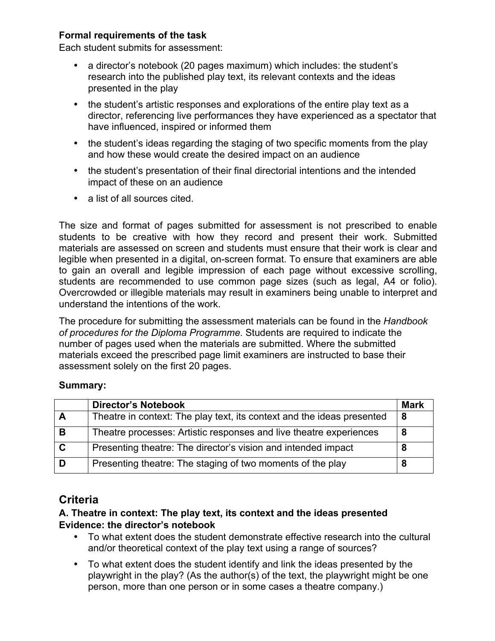## **Formal requirements of the task**

Each student submits for assessment:

- a director's notebook (20 pages maximum) which includes: the student's research into the published play text, its relevant contexts and the ideas presented in the play
- the student's artistic responses and explorations of the entire play text as a director, referencing live performances they have experienced as a spectator that have influenced, inspired or informed them
- the student's ideas regarding the staging of two specific moments from the play and how these would create the desired impact on an audience
- the student's presentation of their final directorial intentions and the intended impact of these on an audience
- a list of all sources cited.

The size and format of pages submitted for assessment is not prescribed to enable students to be creative with how they record and present their work. Submitted materials are assessed on screen and students must ensure that their work is clear and legible when presented in a digital, on-screen format. To ensure that examiners are able to gain an overall and legible impression of each page without excessive scrolling, students are recommended to use common page sizes (such as legal, A4 or folio). Overcrowded or illegible materials may result in examiners being unable to interpret and understand the intentions of the work.

The procedure for submitting the assessment materials can be found in the *Handbook of procedures for the Diploma Programme*. Students are required to indicate the number of pages used when the materials are submitted. Where the submitted materials exceed the prescribed page limit examiners are instructed to base their assessment solely on the first 20 pages.

#### **Summary:**

|             | <b>Director's Notebook</b>                                             | <b>Mark</b> |
|-------------|------------------------------------------------------------------------|-------------|
| A           | Theatre in context: The play text, its context and the ideas presented | -8          |
| B           | Theatre processes: Artistic responses and live theatre experiences     | -8          |
| $\mathbf C$ | Presenting theatre: The director's vision and intended impact          | 8           |
| D           | Presenting theatre: The staging of two moments of the play             | 8           |

# **Criteria**

## **A. Theatre in context: The play text, its context and the ideas presented Evidence: the director's notebook**

- To what extent does the student demonstrate effective research into the cultural and/or theoretical context of the play text using a range of sources?
- To what extent does the student identify and link the ideas presented by the playwright in the play? (As the author(s) of the text, the playwright might be one person, more than one person or in some cases a theatre company.)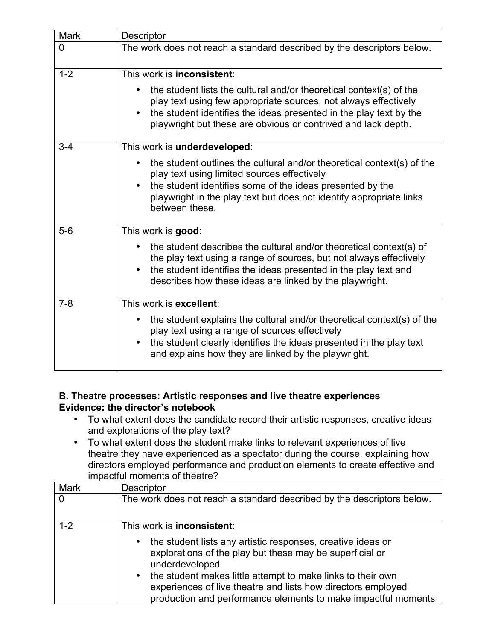| <b>Mark</b>    | Descriptor                                                                                                                                                                                                                                                                                 |  |
|----------------|--------------------------------------------------------------------------------------------------------------------------------------------------------------------------------------------------------------------------------------------------------------------------------------------|--|
| $\overline{0}$ | The work does not reach a standard described by the descriptors below.                                                                                                                                                                                                                     |  |
| $1 - 2$        | This work is <b>inconsistent</b> :                                                                                                                                                                                                                                                         |  |
|                | the student lists the cultural and/or theoretical context(s) of the<br>play text using few appropriate sources, not always effectively<br>the student identifies the ideas presented in the play text by the<br>$\bullet$<br>playwright but these are obvious or contrived and lack depth. |  |
| $3 - 4$        | This work is underdeveloped:                                                                                                                                                                                                                                                               |  |
|                | the student outlines the cultural and/or theoretical context(s) of the<br>play text using limited sources effectively<br>the student identifies some of the ideas presented by the<br>$\bullet$<br>playwright in the play text but does not identify appropriate links<br>between these.   |  |
| $5-6$          | This work is good:                                                                                                                                                                                                                                                                         |  |
|                | the student describes the cultural and/or theoretical context(s) of<br>$\bullet$<br>the play text using a range of sources, but not always effectively<br>the student identifies the ideas presented in the play text and<br>describes how these ideas are linked by the playwright.       |  |
| $7 - 8$        | This work is excellent:                                                                                                                                                                                                                                                                    |  |
|                | the student explains the cultural and/or theoretical context(s) of the<br>$\bullet$<br>play text using a range of sources effectively<br>the student clearly identifies the ideas presented in the play text<br>$\bullet$<br>and explains how they are linked by the playwright.           |  |

## **B. Theatre processes: Artistic responses and live theatre experiences Evidence: the director's notebook**

- To what extent does the candidate record their artistic responses, creative ideas and explorations of the play text?
- To what extent does the student make links to relevant experiences of live theatre they have experienced as a spectator during the course, explaining how directors employed performance and production elements to create effective and impactful moments of theatre?

| <b>Mark</b> | Descriptor                                                                                                                                                                                                                                                                                                                                                  |
|-------------|-------------------------------------------------------------------------------------------------------------------------------------------------------------------------------------------------------------------------------------------------------------------------------------------------------------------------------------------------------------|
|             | The work does not reach a standard described by the descriptors below.                                                                                                                                                                                                                                                                                      |
| $1 - 2$     | This work is <b>inconsistent</b> :                                                                                                                                                                                                                                                                                                                          |
|             | the student lists any artistic responses, creative ideas or<br>٠<br>explorations of the play but these may be superficial or<br>underdeveloped<br>the student makes little attempt to make links to their own<br>$\bullet$<br>experiences of live theatre and lists how directors employed<br>production and performance elements to make impactful moments |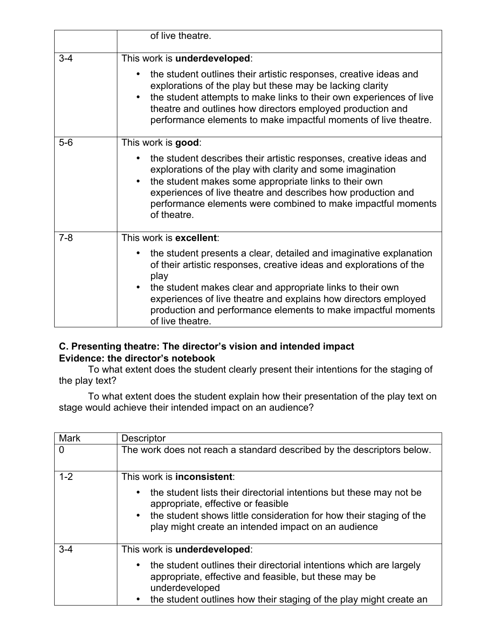|         | of live theatre.                                                                                                                                                                                                                                                                                                                                                                     |
|---------|--------------------------------------------------------------------------------------------------------------------------------------------------------------------------------------------------------------------------------------------------------------------------------------------------------------------------------------------------------------------------------------|
| $3 - 4$ | This work is underdeveloped:                                                                                                                                                                                                                                                                                                                                                         |
|         | the student outlines their artistic responses, creative ideas and<br>explorations of the play but these may be lacking clarity<br>the student attempts to make links to their own experiences of live<br>theatre and outlines how directors employed production and<br>performance elements to make impactful moments of live theatre.                                               |
| $5-6$   | This work is good:                                                                                                                                                                                                                                                                                                                                                                   |
|         | the student describes their artistic responses, creative ideas and<br>explorations of the play with clarity and some imagination<br>the student makes some appropriate links to their own<br>experiences of live theatre and describes how production and<br>performance elements were combined to make impactful moments<br>of theatre.                                             |
| $7 - 8$ | This work is excellent:                                                                                                                                                                                                                                                                                                                                                              |
|         | the student presents a clear, detailed and imaginative explanation<br>of their artistic responses, creative ideas and explorations of the<br>play<br>the student makes clear and appropriate links to their own<br>$\bullet$<br>experiences of live theatre and explains how directors employed<br>production and performance elements to make impactful moments<br>of live theatre. |

# **C. Presenting theatre: The director's vision and intended impact Evidence: the director's notebook**

To what extent does the student clearly present their intentions for the staging of the play text?

To what extent does the student explain how their presentation of the play text on stage would achieve their intended impact on an audience?

| <b>Mark</b> | <b>Descriptor</b>                                                                                                                                                                                                                                    |
|-------------|------------------------------------------------------------------------------------------------------------------------------------------------------------------------------------------------------------------------------------------------------|
| 0           | The work does not reach a standard described by the descriptors below.                                                                                                                                                                               |
| $1 - 2$     | This work is <b>inconsistent</b> :                                                                                                                                                                                                                   |
|             | the student lists their directorial intentions but these may not be<br>appropriate, effective or feasible<br>the student shows little consideration for how their staging of the<br>$\bullet$<br>play might create an intended impact on an audience |
| $3 - 4$     | This work is underdeveloped:                                                                                                                                                                                                                         |
|             | the student outlines their directorial intentions which are largely<br>appropriate, effective and feasible, but these may be<br>underdeveloped<br>the student outlines how their staging of the play might create an                                 |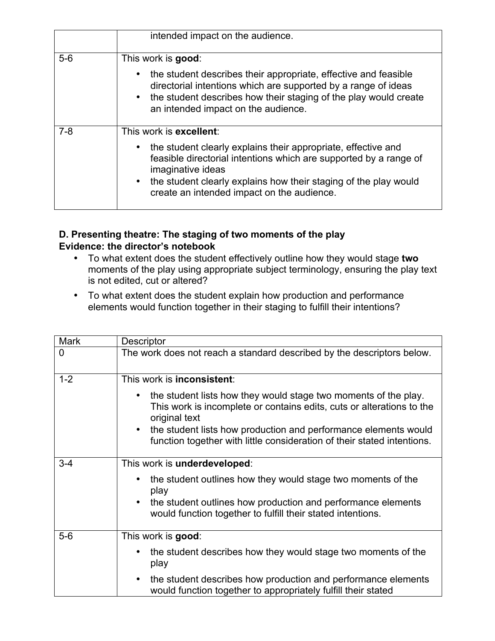|         | intended impact on the audience.                                                                                                                                                                                                                                                                     |
|---------|------------------------------------------------------------------------------------------------------------------------------------------------------------------------------------------------------------------------------------------------------------------------------------------------------|
| $5-6$   | This work is good:<br>the student describes their appropriate, effective and feasible<br>directorial intentions which are supported by a range of ideas<br>the student describes how their staging of the play would create<br>an intended impact on the audience.                                   |
| $7 - 8$ | This work is excellent:<br>the student clearly explains their appropriate, effective and<br>feasible directorial intentions which are supported by a range of<br>imaginative ideas<br>the student clearly explains how their staging of the play would<br>create an intended impact on the audience. |

## **D. Presenting theatre: The staging of two moments of the play Evidence: the director's notebook**

- To what extent does the student effectively outline how they would stage **two**  moments of the play using appropriate subject terminology, ensuring the play text is not edited, cut or altered?
- To what extent does the student explain how production and performance elements would function together in their staging to fulfill their intentions?

| <b>Mark</b> | Descriptor                                                                                                                                                |  |
|-------------|-----------------------------------------------------------------------------------------------------------------------------------------------------------|--|
| 0           | The work does not reach a standard described by the descriptors below.                                                                                    |  |
| $1 - 2$     | This work is <b>inconsistent</b> :                                                                                                                        |  |
|             | the student lists how they would stage two moments of the play.<br>This work is incomplete or contains edits, cuts or alterations to the<br>original text |  |
|             | the student lists how production and performance elements would<br>$\bullet$<br>function together with little consideration of their stated intentions.   |  |
| $3 - 4$     | This work is underdeveloped:                                                                                                                              |  |
|             | the student outlines how they would stage two moments of the<br>play                                                                                      |  |
|             | the student outlines how production and performance elements<br>would function together to fulfill their stated intentions.                               |  |
| $5-6$       | This work is good:                                                                                                                                        |  |
|             | the student describes how they would stage two moments of the<br>play                                                                                     |  |
|             | the student describes how production and performance elements<br>$\bullet$<br>would function together to appropriately fulfill their stated               |  |